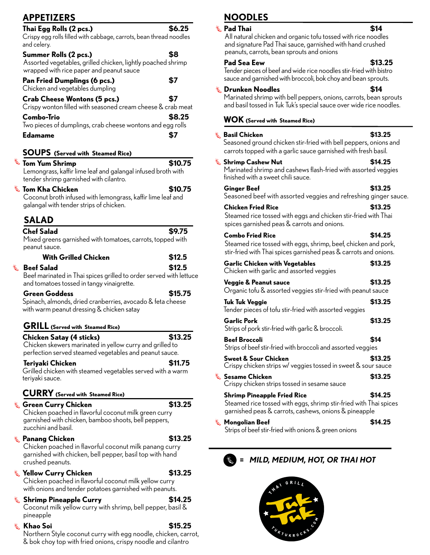| <b>APPETIZERS</b>                                                                                                                                                  |         |
|--------------------------------------------------------------------------------------------------------------------------------------------------------------------|---------|
| Thai Egg Rolls (2 pcs.)<br>Crispy egg rolls filled with cabbage, carrots, bean thread noodles<br>and celery.                                                       | \$6.25  |
| Summer Rolls (2 pcs.)<br>Assorted vegetables, grilled chicken, lightly poached shrimp<br>wrapped with rice paper and peanut sauce                                  | \$8     |
| Pan Fried Dumplings (6 pcs.)<br>Chicken and vegetables dumpling                                                                                                    | \$7     |
| <b>Crab Cheese Wontons (5 pcs.)</b><br>Crispy wonton filled with seasoned cream cheese & crab meat                                                                 | \$7     |
| Combo-Trio<br>Two pieces of dumplings, crab cheese wontons and egg rolls                                                                                           | \$8.25  |
| <b>Edamame</b>                                                                                                                                                     | \$7     |
| <b>SOUPS</b> (Served with Steamed Rice)                                                                                                                            |         |
| <b>Tom Yum Shrimp</b><br>Lemongrass, kaffir lime leaf and galangal infused broth with<br>tender shrimp garnished with cilantro.                                    | \$10.75 |
| <b>Tom Kha Chicken</b><br>Coconut broth infused with lemongrass, kaffir lime leaf and<br>galangal with tender strips of chicken.                                   | \$10.75 |
| <b>SALAD</b><br><b>Chef Salad</b>                                                                                                                                  | \$9.75  |
| Mixed greens garnished with tomatoes, carrots, topped with<br>peanut sauce.                                                                                        |         |
| <b>With Grilled Chicken</b>                                                                                                                                        | \$12.5  |
| <b>Beef Salad</b><br>é.<br>Beef marinated in Thai spices grilled to order served with lettuce<br>and tomatoes tossed in tangy vinaigrette.                         | \$12.5  |
| <b>Green Goddess</b>                                                                                                                                               | \$15.75 |
| Spinach, almonds, dried cranberries, avocado & feta cheese<br>with warm peanut dressing & chicken satay                                                            |         |
| <b>GRILL</b> (Served with Steamed Rice)                                                                                                                            |         |
| Chicken Satay (4 sticks)<br>Chicken skewers marinated in yellow curry and grilled to<br>perfection served steamed vegetables and peanut sauce.                     | \$13.25 |
| Teriyaki Chicken<br>Grilled chicken with steamed vegetables served with a warm<br>teriyaki sauce.                                                                  | \$11.75 |
| <b>CURRY</b> (Served with Steamed Rice)                                                                                                                            |         |
| <b>Green Curry Chicken</b><br>Chicken poached in flavorful coconut milk green curry<br>garnished with chicken, bamboo shoots, bell peppers,<br>zucchini and basil. | \$13.25 |
| <b>Panang Chicken</b><br>Chicken poached in flavorful coconut milk panang curry<br>garnished with chicken, bell pepper, basil top with hand<br>crushed peanuts.    | \$13.25 |
| <b>Yellow Curry Chicken</b><br>Chicken poached in flavorful coconut milk yellow curry<br>with onions and tender potatoes garnished with peanuts.                   | \$13.25 |
| <b>Shrimp Pineapple Curry</b><br>Coconut milk yellow curry with shrimp, bell pepper, basil &<br>pineapple                                                          | \$14.25 |
| Khao Soi                                                                                                                                                           | \$15.25 |

Northern Style coconut curry with egg noodle, chicken, carrot, & bok choy top with fried onions, crispy noodle and cilantro

# **NOODLES**

#### **Pad Thai 514** 爹

All natural chicken and organic tofu tossed with rice noodles and signature Pad Thai sauce, garnished with hand crushed peanuts, carrots, bean sprouts and onions

#### **Pad Sea Eew \$13.25**

Tender pieces of beef and wide rice noodles stir-fried with bistro sauce and garnished with broccoli, bok choy and bean sprouts.

### **Drunken Noodles \$14**

Marinated shrimp with bell peppers, onions, carrots, bean sprouts and basil tossed in Tuk Tuk's special sauce over wide rice noodles.

#### **WOK (Served with Steamed Rice)**

| $\stackrel{\text{\tiny{*}}{\otimes}}$ Basil Chicken<br>Seasoned ground chicken stir-fried with bell peppers, onions and<br>carrots topped with a garlic sauce garnished with fresh basil. | \$13.25 |
|-------------------------------------------------------------------------------------------------------------------------------------------------------------------------------------------|---------|
| Shrimp Cashew Nut<br>Marinated shrimp and cashews flash-fried with assorted veggies<br>finished with a sweet chili sauce.                                                                 | \$14.25 |
| <b>Ginger Beef</b><br>Seasoned beef with assorted veggies and refreshing ginger sauce.                                                                                                    | \$13.25 |
| Chicken Fried Rice<br>Steamed rice tossed with eggs and chicken stir-fried with Thai<br>spices garnished peas & carrots and onions.                                                       | \$13.25 |
| <b>Combo Fried Rice</b><br>Steamed rice tossed with eggs, shrimp, beef, chicken and pork,<br>stir-fried with Thai spices garnished peas & carrots and onions.                             | \$14.25 |
| <b>Garlic Chicken with Vegetables</b><br>Chicken with garlic and assorted veggies                                                                                                         | \$13.25 |
| Veggie & Peanut sauce<br>Organic tofu & assorted veggies stir-fried with peanut sauce                                                                                                     | \$13.25 |
| <b>Tuk Tuk Veggie</b><br>Tender pieces of tofu stir-fried with assorted veggies                                                                                                           | \$13.25 |
| <b>Garlic Pork</b><br>Strips of pork stir-fried with garlic & broccoli.                                                                                                                   | \$13.25 |
| <b>Beef Broccoli</b><br>Strips of beef stir-fried with broccoli and assorted veggies                                                                                                      | \$14    |
| Sweet & Sour Chicken<br>Crispy chicken strips w/ veggies tossed in sweet & sour sauce                                                                                                     | \$13.25 |
| $\mathbb \bar{C}$ Sesame Chicken<br>Crispy chicken strips tossed in sesame sauce                                                                                                          | \$13.25 |
| Shrimp Pineapple Fried Rice<br>Steamed rice tossed with eggs, shrimp stir-fried with Thai spices<br>garnished peas & carrots, cashews, onions & pineapple                                 | \$14.25 |
| <b>Mongolian Beef</b><br>Strips of beef stir-fried with onions & green onions                                                                                                             | \$14.25 |

# **=** *MILD, MEDIUM, HOT, OR THAI HOT*